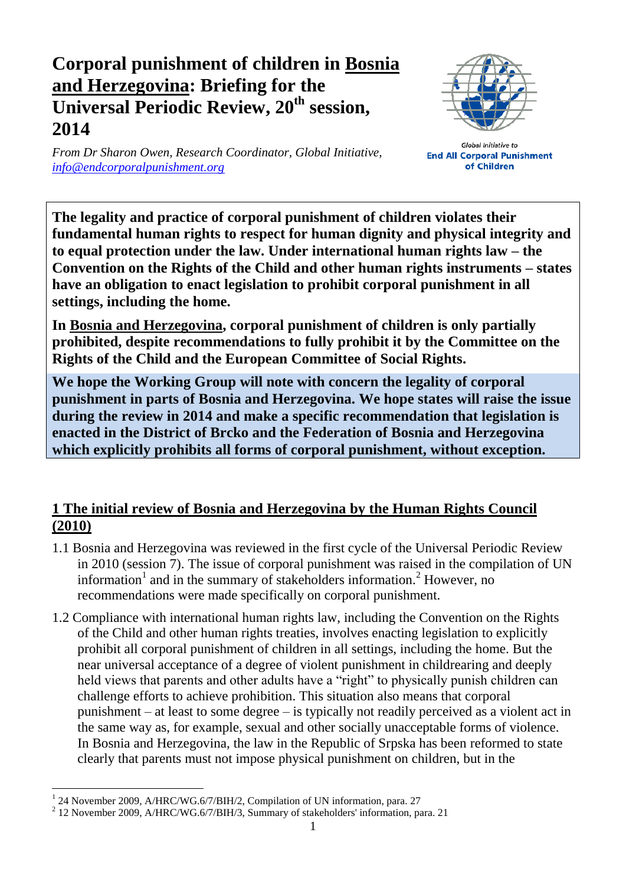## **Corporal punishment of children in Bosnia and Herzegovina: Briefing for the Universal Periodic Review, 20th session, 2014**



*From Dr Sharon Owen, Research Coordinator, Global Initiative, [info@endcorporalpunishment.org](mailto:info@endcorporalpunishment.org)*

**Global Initiative to End All Corporal Punishment** of Children

**The legality and practice of corporal punishment of children violates their fundamental human rights to respect for human dignity and physical integrity and to equal protection under the law. Under international human rights law – the Convention on the Rights of the Child and other human rights instruments – states have an obligation to enact legislation to prohibit corporal punishment in all settings, including the home.**

**In Bosnia and Herzegovina, corporal punishment of children is only partially prohibited, despite recommendations to fully prohibit it by the Committee on the Rights of the Child and the European Committee of Social Rights.**

**We hope the Working Group will note with concern the legality of corporal punishment in parts of Bosnia and Herzegovina. We hope states will raise the issue during the review in 2014 and make a specific recommendation that legislation is enacted in the District of Brcko and the Federation of Bosnia and Herzegovina which explicitly prohibits all forms of corporal punishment, without exception.**

## **1 The initial review of Bosnia and Herzegovina by the Human Rights Council (2010)**

- 1.1 Bosnia and Herzegovina was reviewed in the first cycle of the Universal Periodic Review in 2010 (session 7). The issue of corporal punishment was raised in the compilation of UN information<sup>1</sup> and in the summary of stakeholders information.<sup>2</sup> However, no recommendations were made specifically on corporal punishment.
- 1.2 Compliance with international human rights law, including the Convention on the Rights of the Child and other human rights treaties, involves enacting legislation to explicitly prohibit all corporal punishment of children in all settings, including the home. But the near universal acceptance of a degree of violent punishment in childrearing and deeply held views that parents and other adults have a "right" to physically punish children can challenge efforts to achieve prohibition. This situation also means that corporal punishment – at least to some degree – is typically not readily perceived as a violent act in the same way as, for example, sexual and other socially unacceptable forms of violence. In Bosnia and Herzegovina, the law in the Republic of Srpska has been reformed to state clearly that parents must not impose physical punishment on children, but in the

 $\overline{a}$ <sup>1</sup> 24 November 2009, A/HRC/WG.6/7/BIH/2, Compilation of UN information, para. 27

<sup>2</sup> 12 November 2009, A/HRC/WG.6/7/BIH/3, Summary of stakeholders' information, para. 21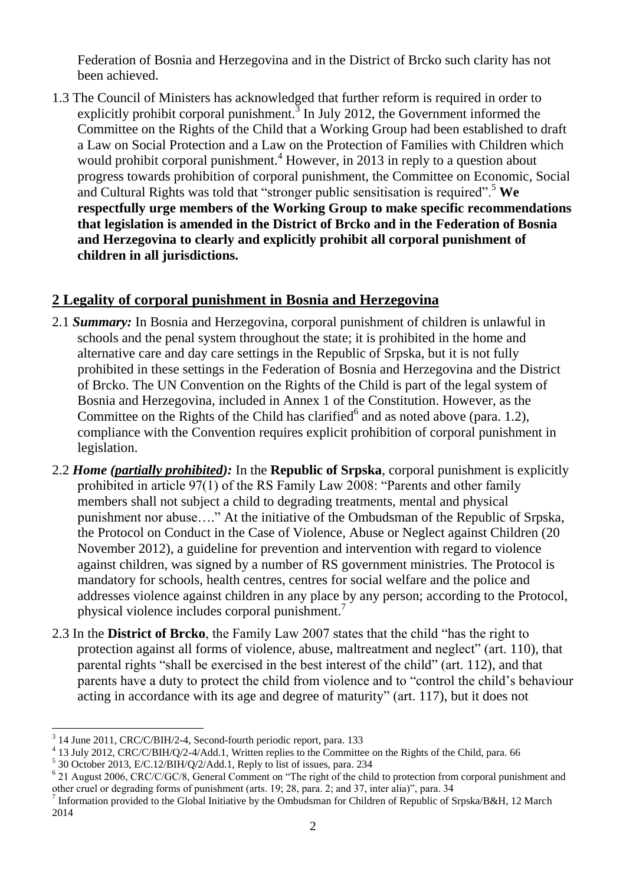Federation of Bosnia and Herzegovina and in the District of Brcko such clarity has not been achieved.

1.3 The Council of Ministers has acknowledged that further reform is required in order to explicitly prohibit corporal punishment. $3$  In July 2012, the Government informed the Committee on the Rights of the Child that a Working Group had been established to draft a Law on Social Protection and a Law on the Protection of Families with Children which would prohibit corporal punishment.<sup>4</sup> However, in 2013 in reply to a question about progress towards prohibition of corporal punishment, the Committee on Economic, Social and Cultural Rights was told that "stronger public sensitisation is required".<sup>5</sup> **We respectfully urge members of the Working Group to make specific recommendations that legislation is amended in the District of Brcko and in the Federation of Bosnia and Herzegovina to clearly and explicitly prohibit all corporal punishment of children in all jurisdictions.**

## **2 Legality of corporal punishment in Bosnia and Herzegovina**

- 2.1 *Summary:* In Bosnia and Herzegovina, corporal punishment of children is unlawful in schools and the penal system throughout the state; it is prohibited in the home and alternative care and day care settings in the Republic of Srpska, but it is not fully prohibited in these settings in the Federation of Bosnia and Herzegovina and the District of Brcko. The UN Convention on the Rights of the Child is part of the legal system of Bosnia and Herzegovina, included in Annex 1 of the Constitution. However, as the Committee on the Rights of the Child has clarified $<sup>6</sup>$  and as noted above (para. 1.2),</sup> compliance with the Convention requires explicit prohibition of corporal punishment in legislation.
- 2.2 *Home (partially prohibited):* In the **Republic of Srpska**, corporal punishment is explicitly prohibited in article 97(1) of the RS Family Law 2008: "Parents and other family members shall not subject a child to degrading treatments, mental and physical punishment nor abuse…." At the initiative of the Ombudsman of the Republic of Srpska, the Protocol on Conduct in the Case of Violence, Abuse or Neglect against Children (20 November 2012), a guideline for prevention and intervention with regard to violence against children, was signed by a number of RS government ministries. The Protocol is mandatory for schools, health centres, centres for social welfare and the police and addresses violence against children in any place by any person; according to the Protocol, physical violence includes corporal punishment.<sup>7</sup>
- 2.3 In the **District of Brcko**, the Family Law 2007 states that the child "has the right to protection against all forms of violence, abuse, maltreatment and neglect" (art. 110), that parental rights "shall be exercised in the best interest of the child" (art. 112), and that parents have a duty to protect the child from violence and to "control the child's behaviour acting in accordance with its age and degree of maturity" (art. 117), but it does not

 $\overline{a}$ 

<sup>&</sup>lt;sup>3</sup> 14 June 2011, CRC/C/BIH/2-4, Second-fourth periodic report, para. 133

<sup>&</sup>lt;sup>4</sup> 13 July 2012, CRC/C/BIH/Q/2-4/Add.1, Written replies to the Committee on the Rights of the Child, para. 66

<sup>5</sup> 30 October 2013, E/C.12/BIH/Q/2/Add.1, Reply to list of issues, para. 234

<sup>&</sup>lt;sup>6</sup> 21 August 2006, CRC/C/GC/8, General Comment on "The right of the child to protection from corporal punishment and other cruel or degrading forms of punishment (arts. 19; 28, para. 2; and 37, inter alia)", para. 34

<sup>&</sup>lt;sup>7</sup> Information provided to the Global Initiative by the Ombudsman for Children of Republic of Srpska/B&H, 12 March 2014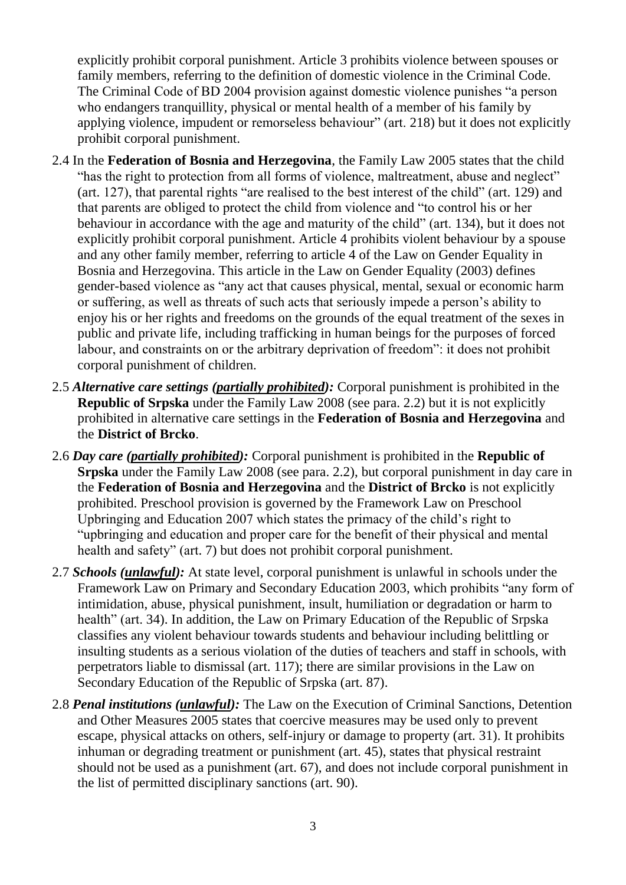explicitly prohibit corporal punishment. Article 3 prohibits violence between spouses or family members, referring to the definition of domestic violence in the Criminal Code. The Criminal Code of BD 2004 provision against domestic violence punishes "a person who endangers tranquillity, physical or mental health of a member of his family by applying violence, impudent or remorseless behaviour" (art. 218) but it does not explicitly prohibit corporal punishment.

- 2.4 In the **Federation of Bosnia and Herzegovina**, the Family Law 2005 states that the child "has the right to protection from all forms of violence, maltreatment, abuse and neglect" (art. 127), that parental rights "are realised to the best interest of the child" (art. 129) and that parents are obliged to protect the child from violence and "to control his or her behaviour in accordance with the age and maturity of the child" (art. 134), but it does not explicitly prohibit corporal punishment. Article 4 prohibits violent behaviour by a spouse and any other family member, referring to article 4 of the Law on Gender Equality in Bosnia and Herzegovina. This article in the Law on Gender Equality (2003) defines gender-based violence as "any act that causes physical, mental, sexual or economic harm or suffering, as well as threats of such acts that seriously impede a person's ability to enjoy his or her rights and freedoms on the grounds of the equal treatment of the sexes in public and private life, including trafficking in human beings for the purposes of forced labour, and constraints on or the arbitrary deprivation of freedom": it does not prohibit corporal punishment of children.
- 2.5 *Alternative care settings (partially prohibited):* Corporal punishment is prohibited in the **Republic of Srpska** under the Family Law 2008 (see para. 2.2) but it is not explicitly prohibited in alternative care settings in the **Federation of Bosnia and Herzegovina** and the **District of Brcko**.
- 2.6 *Day care (partially prohibited):* Corporal punishment is prohibited in the **Republic of Srpska** under the Family Law 2008 (see para. 2.2), but corporal punishment in day care in the **Federation of Bosnia and Herzegovina** and the **District of Brcko** is not explicitly prohibited. Preschool provision is governed by the Framework Law on Preschool Upbringing and Education 2007 which states the primacy of the child's right to "upbringing and education and proper care for the benefit of their physical and mental health and safety" (art. 7) but does not prohibit corporal punishment.
- 2.7 *Schools (unlawful):* At state level, corporal punishment is unlawful in schools under the Framework Law on Primary and Secondary Education 2003, which prohibits "any form of intimidation, abuse, physical punishment, insult, humiliation or degradation or harm to health" (art. 34). In addition, the Law on Primary Education of the Republic of Srpska classifies any violent behaviour towards students and behaviour including belittling or insulting students as a serious violation of the duties of teachers and staff in schools, with perpetrators liable to dismissal (art. 117); there are similar provisions in the Law on Secondary Education of the Republic of Srpska (art. 87).
- 2.8 *Penal institutions (unlawful):* The Law on the Execution of Criminal Sanctions, Detention and Other Measures 2005 states that coercive measures may be used only to prevent escape, physical attacks on others, self-injury or damage to property (art. 31). It prohibits inhuman or degrading treatment or punishment (art. 45), states that physical restraint should not be used as a punishment (art. 67), and does not include corporal punishment in the list of permitted disciplinary sanctions (art. 90).